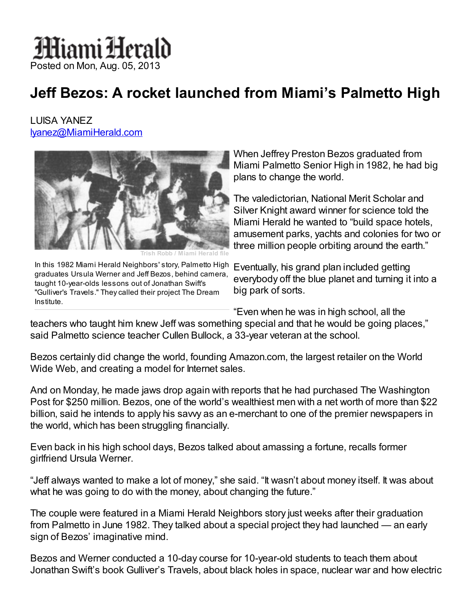## Miami Herald Posted on Mon, Aug. 05, 2013

## Jeff Bezos: A rocket launched from Miami's Palmetto High

LUISA YANEZ [lyanez@MiamiHerald.com](mailto:lyanez@MiamiHerald.com)



Trish Robb / Miami Herald file In this 1982 Miami Herald Neighbors' story, Palmetto High Eventually, his grand plan included getting graduates Ursula Werner and Jeff Bezos, behind camera, taught 10-year-olds lessons out of Jonathan Swift's "Gulliver's Travels." They called their project The Dream Institute.

When Jeffrey Preston Bezos graduated from Miami Palmetto Senior High in 1982, he had big plans to change the world.

The valedictorian, National Merit Scholar and Silver Knight award winner for science told the Miami Herald he wanted to "build space hotels, amusement parks, yachts and colonies for two or three million people orbiting around the earth."

everybody off the blue planet and turning it into a big park of sorts.

"Even when he was in high school, all the

teachers who taught him knew Jeff was something special and that he would be going places," said Palmetto science teacher Cullen Bullock, a 33-year veteran at the school.

Bezos certainly did change the world, founding Amazon.com, the largest retailer on the World Wide Web, and creating a model for Internet sales.

And on Monday, he made jaws drop again with reports that he had purchased The Washington Post for \$250 million. Bezos, one of the world's wealthiest men with a net worth of more than \$22 billion, said he intends to apply his savvy as an e-merchant to one of the premier newspapers in the world, which has been struggling financially.

Even back in his high school days, Bezos talked about amassing a fortune, recalls former girlfriend Ursula Werner.

"Jeff always wanted to make a lot of money," she said. "It wasn't about money itself. It was about what he was going to do with the money, about changing the future."

The couple were featured in a Miami Herald Neighbors story just weeks after their graduation from Palmetto in June 1982. They talked about a special project they had launched — an early sign of Bezos' imaginative mind.

Bezos and Werner conducted a 10-day course for 10-year-old students to teach them about Jonathan Swift's book Gulliver's Travels, about black holes in space, nuclear war and how electric